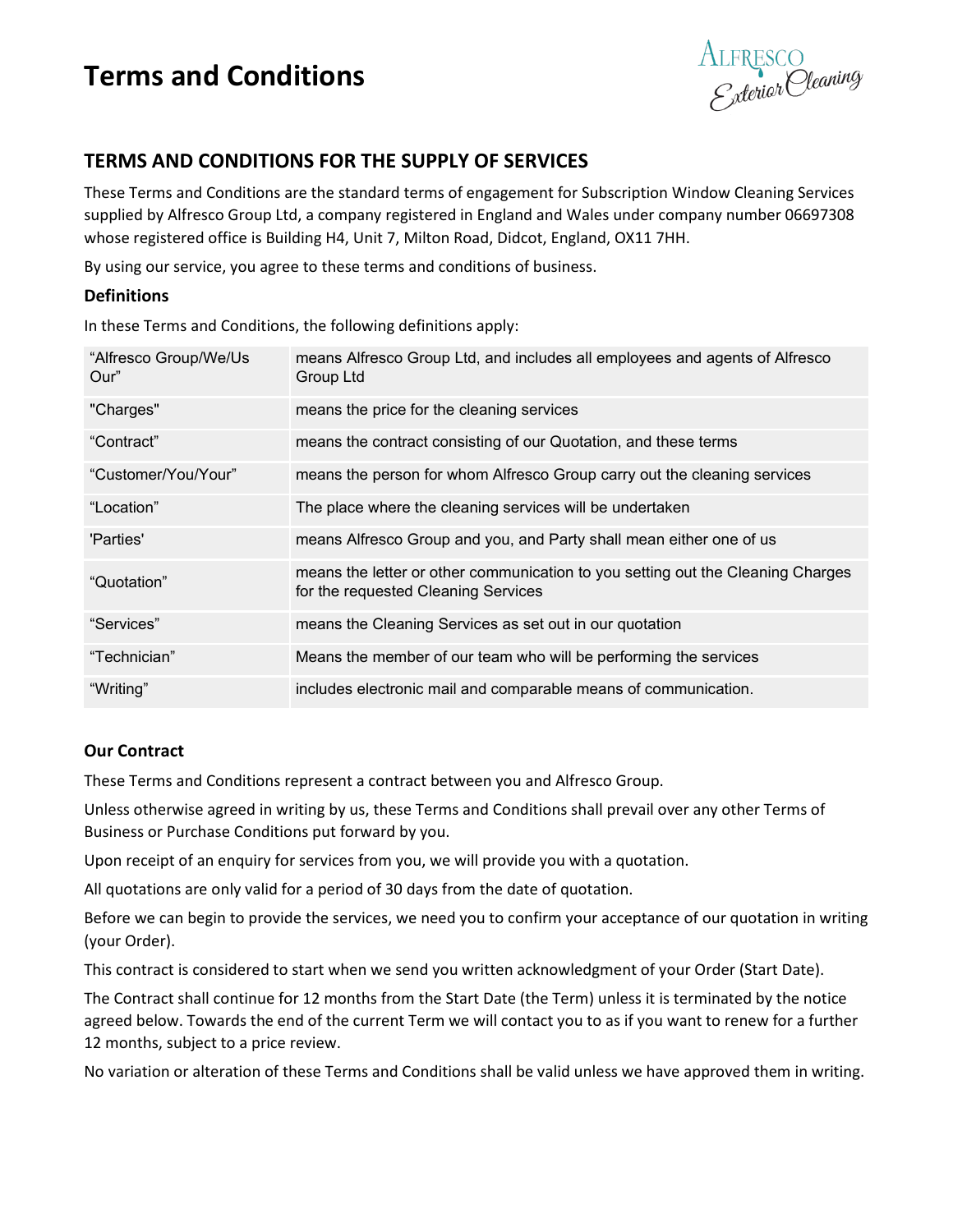# **Terms and Conditions**

ALFRESCO<br>E<sub>x</sub>terior Cleaning

## **TERMS AND CONDITIONS FOR THE SUPPLY OF SERVICES**

These Terms and Conditions are the standard terms of engagement for Subscription Window Cleaning Services supplied by Alfresco Group Ltd, a company registered in England and Wales under company number 06697308 whose registered office is Building H4, Unit 7, Milton Road, Didcot, England, OX11 7HH.

By using our service, you agree to these terms and conditions of business.

## **Definitions**

In these Terms and Conditions, the following definitions apply:

| "Alfresco Group/We/Us<br>Our" | means Alfresco Group Ltd, and includes all employees and agents of Alfresco<br>Group Ltd                               |
|-------------------------------|------------------------------------------------------------------------------------------------------------------------|
| "Charges"                     | means the price for the cleaning services                                                                              |
| "Contract"                    | means the contract consisting of our Quotation, and these terms                                                        |
| "Customer/You/Your"           | means the person for whom Alfresco Group carry out the cleaning services                                               |
| "Location"                    | The place where the cleaning services will be undertaken                                                               |
| 'Parties'                     | means Alfresco Group and you, and Party shall mean either one of us                                                    |
| "Quotation"                   | means the letter or other communication to you setting out the Cleaning Charges<br>for the requested Cleaning Services |
| "Services"                    | means the Cleaning Services as set out in our quotation                                                                |
| "Technician"                  | Means the member of our team who will be performing the services                                                       |
| "Writing"                     | includes electronic mail and comparable means of communication.                                                        |

## **Our Contract**

These Terms and Conditions represent a contract between you and Alfresco Group.

Unless otherwise agreed in writing by us, these Terms and Conditions shall prevail over any other Terms of Business or Purchase Conditions put forward by you.

Upon receipt of an enquiry for services from you, we will provide you with a quotation.

All quotations are only valid for a period of 30 days from the date of quotation.

Before we can begin to provide the services, we need you to confirm your acceptance of our quotation in writing (your Order).

This contract is considered to start when we send you written acknowledgment of your Order (Start Date).

The Contract shall continue for 12 months from the Start Date (the Term) unless it is terminated by the notice agreed below. Towards the end of the current Term we will contact you to as if you want to renew for a further 12 months, subject to a price review.

No variation or alteration of these Terms and Conditions shall be valid unless we have approved them in writing.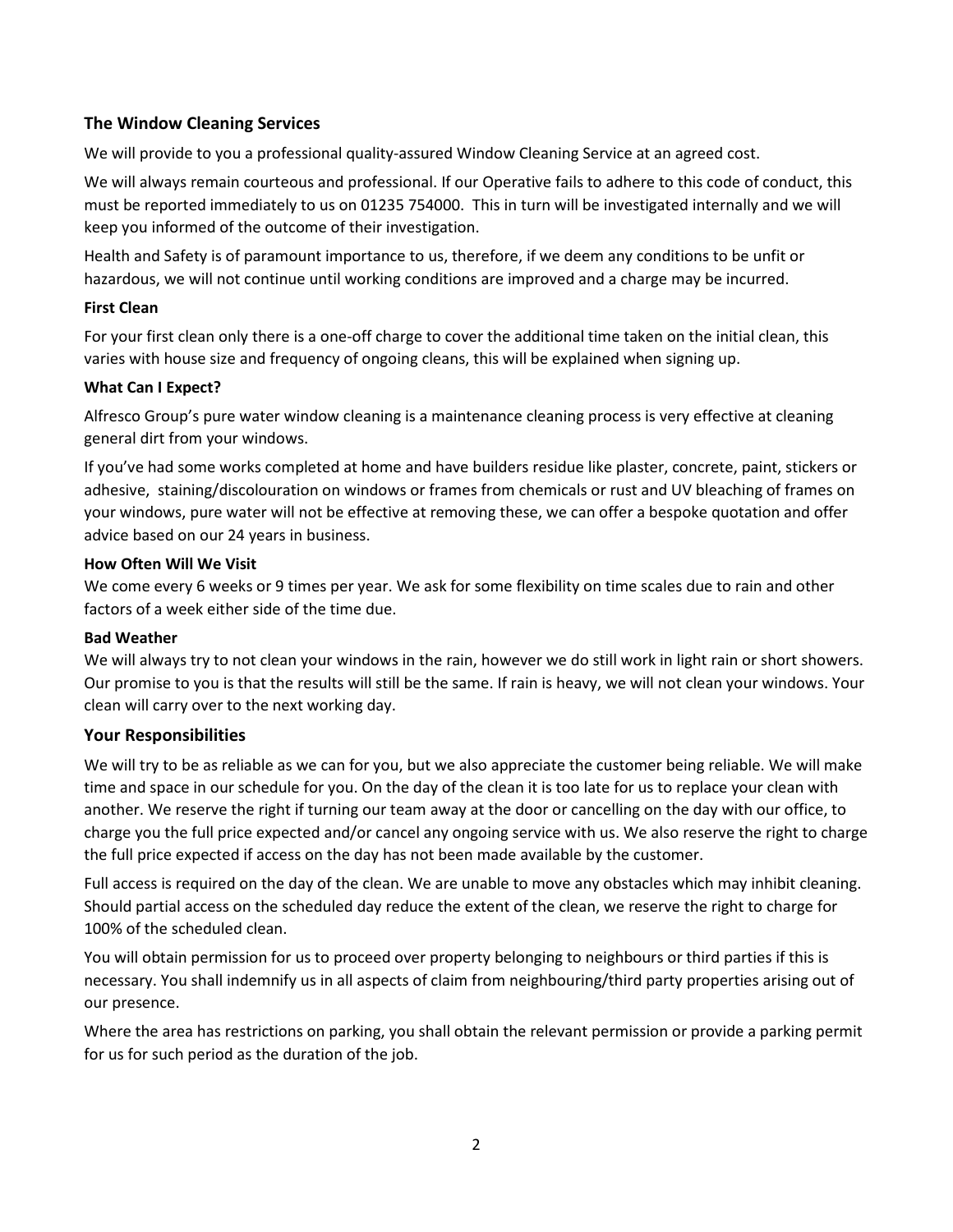## **The Window Cleaning Services**

We will provide to you a professional quality-assured Window Cleaning Service at an agreed cost.

We will always remain courteous and professional. If our Operative fails to adhere to this code of conduct, this must be reported immediately to us on 01235 754000. This in turn will be investigated internally and we will keep you informed of the outcome of their investigation.

Health and Safety is of paramount importance to us, therefore, if we deem any conditions to be unfit or hazardous, we will not continue until working conditions are improved and a charge may be incurred.

### **First Clean**

For your first clean only there is a one-off charge to cover the additional time taken on the initial clean, this varies with house size and frequency of ongoing cleans, this will be explained when signing up.

### **What Can I Expect?**

Alfresco Group's pure water window cleaning is a maintenance cleaning process is very effective at cleaning general dirt from your windows.

If you've had some works completed at home and have builders residue like plaster, concrete, paint, stickers or adhesive, staining/discolouration on windows or frames from chemicals or rust and UV bleaching of frames on your windows, pure water will not be effective at removing these, we can offer a bespoke quotation and offer advice based on our 24 years in business.

### **How Often Will We Visit**

We come every 6 weeks or 9 times per year. We ask for some flexibility on time scales due to rain and other factors of a week either side of the time due.

#### **Bad Weather**

We will always try to not clean your windows in the rain, however we do still work in light rain or short showers. Our promise to you is that the results will still be the same. If rain is heavy, we will not clean your windows. Your clean will carry over to the next working day.

## **Your Responsibilities**

We will try to be as reliable as we can for you, but we also appreciate the customer being reliable. We will make time and space in our schedule for you. On the day of the clean it is too late for us to replace your clean with another. We reserve the right if turning our team away at the door or cancelling on the day with our office, to charge you the full price expected and/or cancel any ongoing service with us. We also reserve the right to charge the full price expected if access on the day has not been made available by the customer.

Full access is required on the day of the clean. We are unable to move any obstacles which may inhibit cleaning. Should partial access on the scheduled day reduce the extent of the clean, we reserve the right to charge for 100% of the scheduled clean.

You will obtain permission for us to proceed over property belonging to neighbours or third parties if this is necessary. You shall indemnify us in all aspects of claim from neighbouring/third party properties arising out of our presence.

Where the area has restrictions on parking, you shall obtain the relevant permission or provide a parking permit for us for such period as the duration of the job.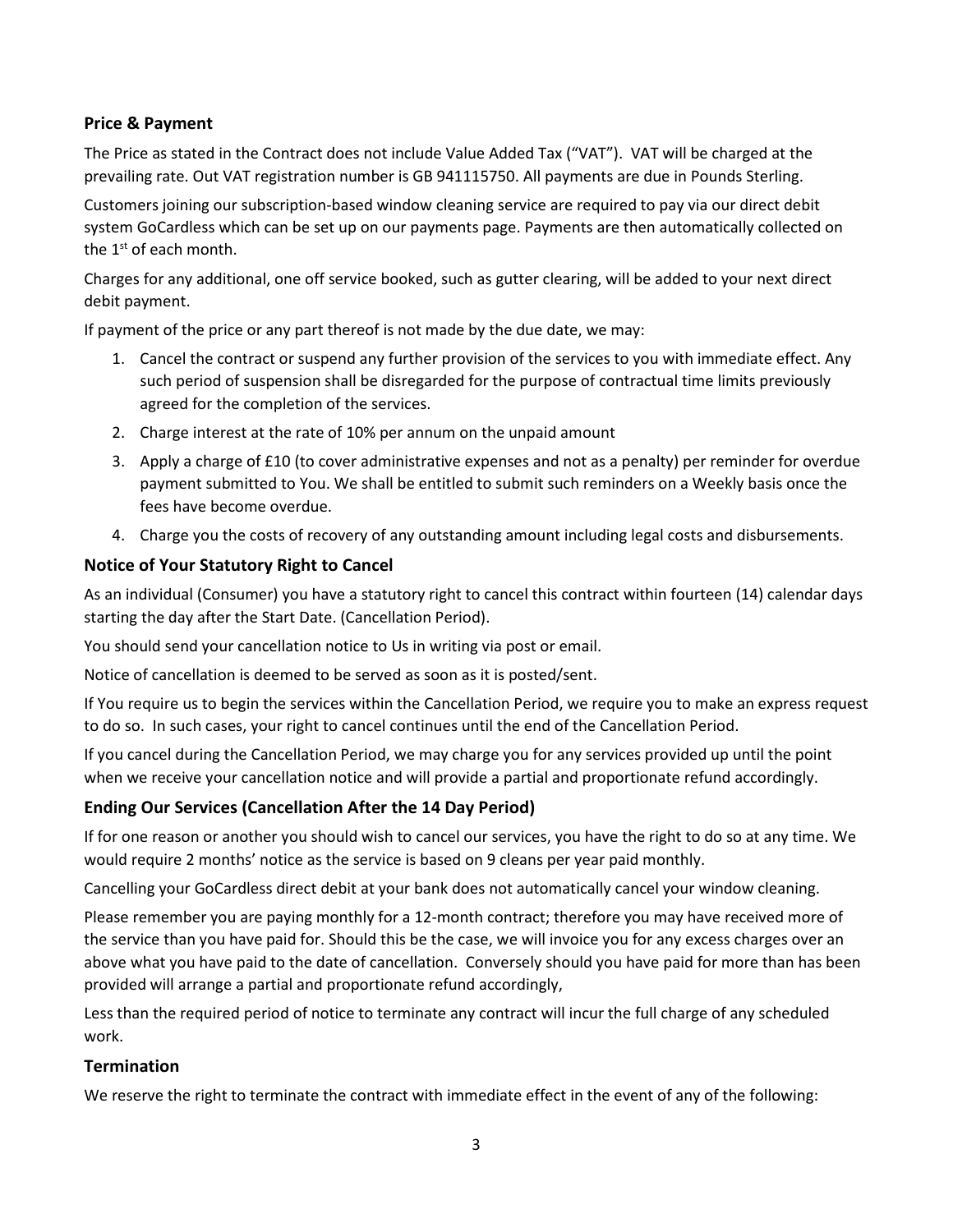## **Price & Payment**

The Price as stated in the Contract does not include Value Added Tax ("VAT"). VAT will be charged at the prevailing rate. Out VAT registration number is GB 941115750. All payments are due in Pounds Sterling.

Customers joining our subscription-based window cleaning service are required to pay via our direct debit system GoCardless which can be set up on our payments page. Payments are then automatically collected on the  $1<sup>st</sup>$  of each month.

Charges for any additional, one off service booked, such as gutter clearing, will be added to your next direct debit payment.

If payment of the price or any part thereof is not made by the due date, we may:

- 1. Cancel the contract or suspend any further provision of the services to you with immediate effect. Any such period of suspension shall be disregarded for the purpose of contractual time limits previously agreed for the completion of the services.
- 2. Charge interest at the rate of 10% per annum on the unpaid amount
- 3. Apply a charge of £10 (to cover administrative expenses and not as a penalty) per reminder for overdue payment submitted to You. We shall be entitled to submit such reminders on a Weekly basis once the fees have become overdue.
- 4. Charge you the costs of recovery of any outstanding amount including legal costs and disbursements.

## **Notice of Your Statutory Right to Cancel**

As an individual (Consumer) you have a statutory right to cancel this contract within fourteen (14) calendar days starting the day after the Start Date. (Cancellation Period).

You should send your cancellation notice to Us in writing via post or email.

Notice of cancellation is deemed to be served as soon as it is posted/sent.

If You require us to begin the services within the Cancellation Period, we require you to make an express request to do so. In such cases, your right to cancel continues until the end of the Cancellation Period.

If you cancel during the Cancellation Period, we may charge you for any services provided up until the point when we receive your cancellation notice and will provide a partial and proportionate refund accordingly.

## **Ending Our Services (Cancellation After the 14 Day Period)**

If for one reason or another you should wish to cancel our services, you have the right to do so at any time. We would require 2 months' notice as the service is based on 9 cleans per year paid monthly.

Cancelling your GoCardless direct debit at your bank does not automatically cancel your window cleaning.

Please remember you are paying monthly for a 12-month contract; therefore you may have received more of the service than you have paid for. Should this be the case, we will invoice you for any excess charges over an above what you have paid to the date of cancellation. Conversely should you have paid for more than has been provided will arrange a partial and proportionate refund accordingly,

Less than the required period of notice to terminate any contract will incur the full charge of any scheduled work.

## **Termination**

We reserve the right to terminate the contract with immediate effect in the event of any of the following: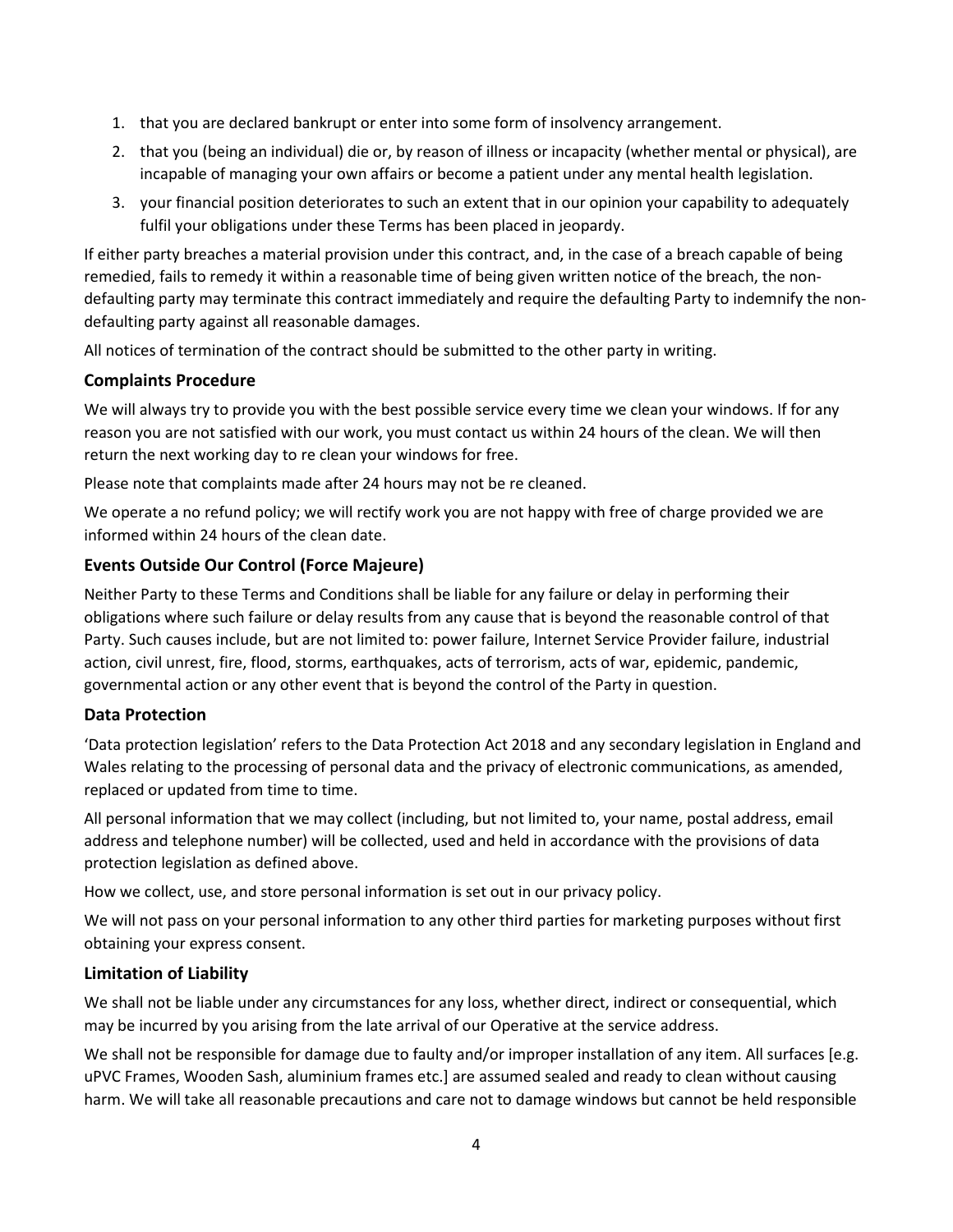- 1. that you are declared bankrupt or enter into some form of insolvency arrangement.
- 2. that you (being an individual) die or, by reason of illness or incapacity (whether mental or physical), are incapable of managing your own affairs or become a patient under any mental health legislation.
- 3. your financial position deteriorates to such an extent that in our opinion your capability to adequately fulfil your obligations under these Terms has been placed in jeopardy.

If either party breaches a material provision under this contract, and, in the case of a breach capable of being remedied, fails to remedy it within a reasonable time of being given written notice of the breach, the nondefaulting party may terminate this contract immediately and require the defaulting Party to indemnify the nondefaulting party against all reasonable damages.

All notices of termination of the contract should be submitted to the other party in writing.

## **Complaints Procedure**

We will always try to provide you with the best possible service every time we clean your windows. If for any reason you are not satisfied with our work, you must contact us within 24 hours of the clean. We will then return the next working day to re clean your windows for free.

Please note that complaints made after 24 hours may not be re cleaned.

We operate a no refund policy; we will rectify work you are not happy with free of charge provided we are informed within 24 hours of the clean date.

## **Events Outside Our Control (Force Majeure)**

Neither Party to these Terms and Conditions shall be liable for any failure or delay in performing their obligations where such failure or delay results from any cause that is beyond the reasonable control of that Party. Such causes include, but are not limited to: power failure, Internet Service Provider failure, industrial action, civil unrest, fire, flood, storms, earthquakes, acts of terrorism, acts of war, epidemic, pandemic, governmental action or any other event that is beyond the control of the Party in question.

## **Data Protection**

'Data protection legislation' refers to the Data Protection Act 2018 and any secondary legislation in England and Wales relating to the processing of personal data and the privacy of electronic communications, as amended, replaced or updated from time to time.

All personal information that we may collect (including, but not limited to, your name, postal address, email address and telephone number) will be collected, used and held in accordance with the provisions of data protection legislation as defined above.

How we collect, use, and store personal information is set out in our privacy policy.

We will not pass on your personal information to any other third parties for marketing purposes without first obtaining your express consent.

## **Limitation of Liability**

We shall not be liable under any circumstances for any loss, whether direct, indirect or consequential, which may be incurred by you arising from the late arrival of our Operative at the service address.

We shall not be responsible for damage due to faulty and/or improper installation of any item. All surfaces [e.g. uPVC Frames, Wooden Sash, aluminium frames etc.] are assumed sealed and ready to clean without causing harm. We will take all reasonable precautions and care not to damage windows but cannot be held responsible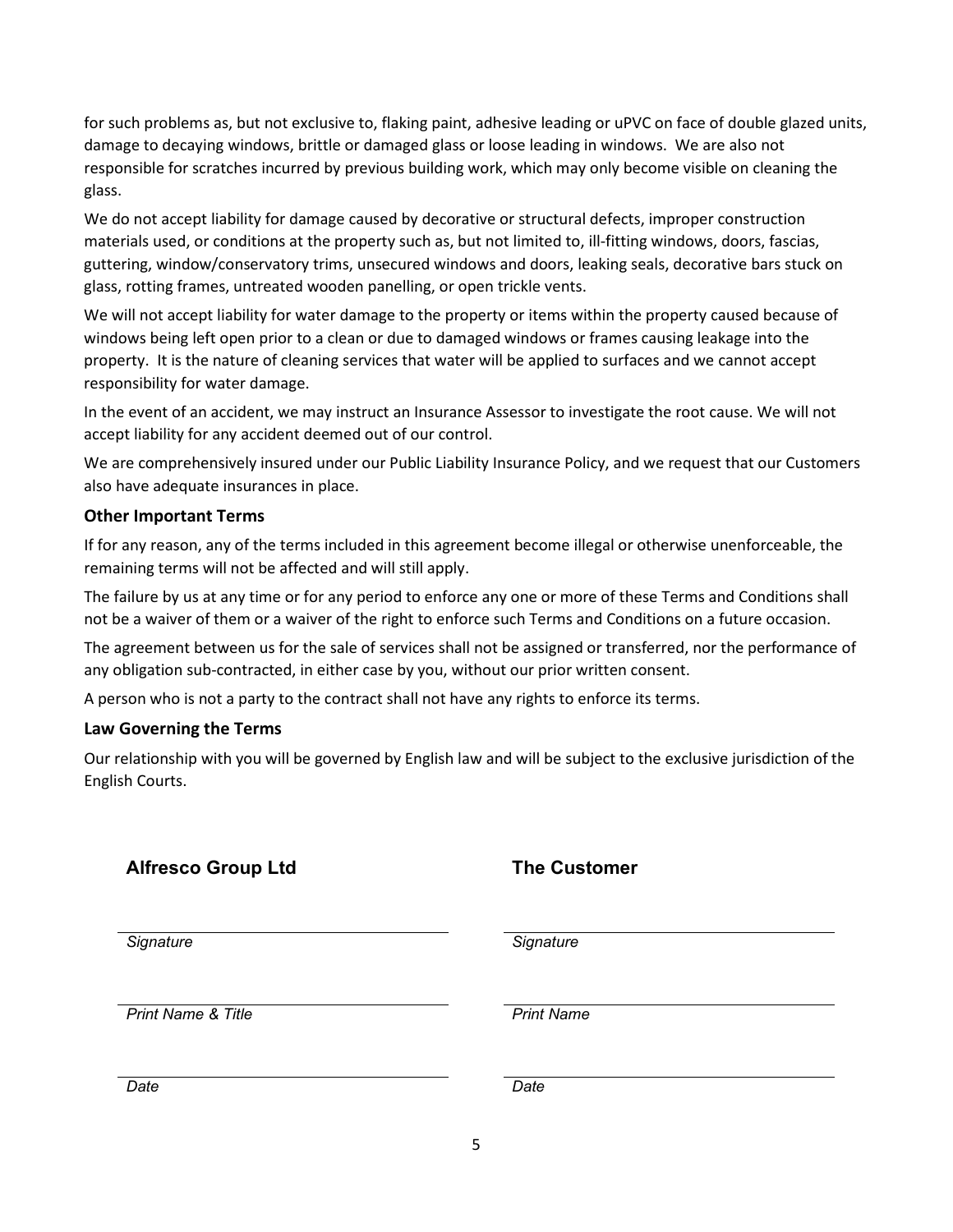for such problems as, but not exclusive to, flaking paint, adhesive leading or uPVC on face of double glazed units, damage to decaying windows, brittle or damaged glass or loose leading in windows. We are also not responsible for scratches incurred by previous building work, which may only become visible on cleaning the glass.

We do not accept liability for damage caused by decorative or structural defects, improper construction materials used, or conditions at the property such as, but not limited to, ill-fitting windows, doors, fascias, guttering, window/conservatory trims, unsecured windows and doors, leaking seals, decorative bars stuck on glass, rotting frames, untreated wooden panelling, or open trickle vents.

We will not accept liability for water damage to the property or items within the property caused because of windows being left open prior to a clean or due to damaged windows or frames causing leakage into the property. It is the nature of cleaning services that water will be applied to surfaces and we cannot accept responsibility for water damage.

In the event of an accident, we may instruct an Insurance Assessor to investigate the root cause. We will not accept liability for any accident deemed out of our control.

We are comprehensively insured under our Public Liability Insurance Policy, and we request that our Customers also have adequate insurances in place.

### **Other Important Terms**

If for any reason, any of the terms included in this agreement become illegal or otherwise unenforceable, the remaining terms will not be affected and will still apply.

The failure by us at any time or for any period to enforce any one or more of these Terms and Conditions shall not be a waiver of them or a waiver of the right to enforce such Terms and Conditions on a future occasion.

The agreement between us for the sale of services shall not be assigned or transferred, nor the performance of any obligation sub-contracted, in either case by you, without our prior written consent.

A person who is not a party to the contract shall not have any rights to enforce its terms.

#### **Law Governing the Terms**

Our relationship with you will be governed by English law and will be subject to the exclusive jurisdiction of the English Courts.

| <b>Alfresco Group Ltd</b> |  |
|---------------------------|--|
|                           |  |

## **The Customer**

*Signature Signature*

*Print Name & Title Print Name*

*Date Date*